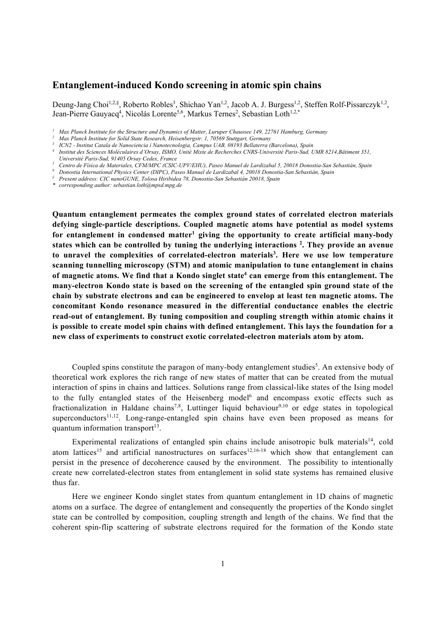# **Entanglement-induced Kondo screening in atomic spin chains**

Deung-Jang Choi<sup>1,2,§</sup>, Roberto Robles<sup>3</sup>, Shichao Yan<sup>1,2</sup>, Jacob A. J. Burgess<sup>1,2</sup>, Steffen Rolf-Pissarczyk<sup>1,2</sup>, Jean-Pierre Gauyacq<sup>4</sup>, Nicolás Lorente<sup>5,6</sup>, Markus Ternes<sup>2</sup>, Sebastian Loth<sup>1,2,\*</sup>

*\* corresponding author: sebastian.loth@mpsd.mpg.de* 

**Quantum entanglement permeates the complex ground states of correlated electron materials defying single-particle descriptions. Coupled magnetic atoms have potential as model systems**  for entanglement in condensed matter<sup>1</sup> giving the opportunity to create artificial many-body **states which can be controlled by tuning the underlying interactions 2 . They provide an avenue**  to unravel the complexities of correlated-electron materials<sup>3</sup>. Here we use low temperature **scanning tunnelling microscopy (STM) and atomic manipulation to tune entanglement in chains**  of magnetic atoms. We find that a Kondo singlet state<sup>4</sup> can emerge from this entanglement. The **many-electron Kondo state is based on the screening of the entangled spin ground state of the chain by substrate electrons and can be engineered to envelop at least ten magnetic atoms. The concomitant Kondo resonance measured in the differential conductance enables the electric read-out of entanglement. By tuning composition and coupling strength within atomic chains it is possible to create model spin chains with defined entanglement. This lays the foundation for a new class of experiments to construct exotic correlated-electron materials atom by atom.** 

Coupled spins constitute the paragon of many-body entanglement studies<sup>5</sup>. An extensive body of theoretical work explores the rich range of new states of matter that can be created from the mutual interaction of spins in chains and lattices. Solutions range from classical-like states of the Ising model to the fully entangled states of the Heisenberg model<sup>6</sup> and encompass exotic effects such as fractionalization in Haldane chains<sup>7,8</sup>, Luttinger liquid behaviour<sup>9,10</sup> or edge states in topological superconductors<sup>11,12</sup>. Long-range-entangled spin chains have even been proposed as means for quantum information transport $13$ .

Experimental realizations of entangled spin chains include anisotropic bulk materials<sup>14</sup>, cold atom lattices<sup>15</sup> and artificial nanostructures on surfaces<sup>12,16-18</sup> which show that entanglement can persist in the presence of decoherence caused by the environment. The possibility to intentionally create new correlated-electron states from entanglement in solid state systems has remained elusive thus far.

Here we engineer Kondo singlet states from quantum entanglement in 1D chains of magnetic atoms on a surface. The degree of entanglement and consequently the properties of the Kondo singlet state can be controlled by composition, coupling strength and length of the chains. We find that the coherent spin-flip scattering of substrate electrons required for the formation of the Kondo state

*<sup>1</sup> Max Planck Institute for the Structure and Dynamics of Matter, Luruper Chaussee 149, 22761 Hamburg, Germany*

*<sup>2</sup> Max Planck Institute for Solid State Research, Heisenbergstr. 1, 70569 Stuttgart, Germany*

Institut des Sciences Moléculaires d'Orsay, ISMO, Unité Mixte de Recherches CNRS-Université Paris-Sud, UMR 8214, Bâtiment 351,

*Université Paris-Sud, 91405 Orsay Cedex, France*

Centro de Física de Materiales, CFM/MPC (CSIC-UPV/EHU), Paseo Manuel de Lardizabal 5, 20018 Donostia-San Sebastián, Spain<br>Donostia International Physics Center (DIPC), Paseo Manuel de Lardizabal 4, 20018 Donostia-San Sebas

*<sup>§</sup> Present address: CIC nanoGUNE, Tolosa Hiribidea 78, Donostia-San Sebastián 20018, Spain*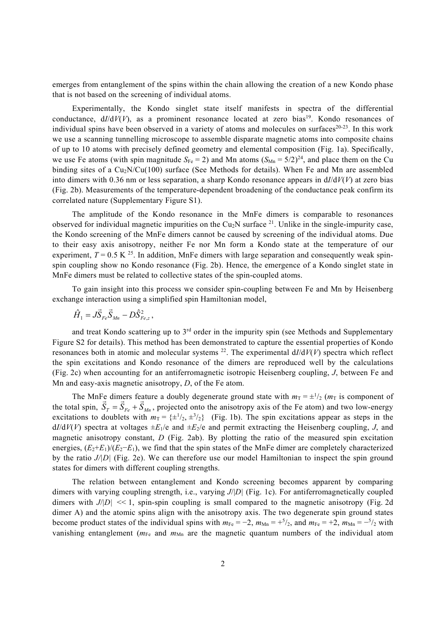emerges from entanglement of the spins within the chain allowing the creation of a new Kondo phase that is not based on the screening of individual atoms.

Experimentally, the Kondo singlet state itself manifests in spectra of the differential conductance,  $dI/dV(V)$ , as a prominent resonance located at zero bias<sup>19</sup>. Kondo resonances of individual spins have been observed in a variety of atoms and molecules on surfaces $20-23$ . In this work we use a scanning tunnelling microscope to assemble disparate magnetic atoms into composite chains of up to 10 atoms with precisely defined geometry and elemental composition (Fig. 1a). Specifically, we use Fe atoms (with spin magnitude  $S_{\text{Fe}} = 2$ ) and Mn atoms  $(S_{\text{Mn}} = 5/2)^{24}$ , and place them on the Cu binding sites of a  $Cu_2N/Cu(100)$  surface (See Methods for details). When Fe and Mn are assembled into dimers with 0.36 nm or less separation, a sharp Kondo resonance appears in d*I*/d*V*(*V*) at zero bias (Fig. 2b). Measurements of the temperature-dependent broadening of the conductance peak confirm its correlated nature (Supplementary Figure S1).

The amplitude of the Kondo resonance in the MnFe dimers is comparable to resonances observed for individual magnetic impurities on the Cu<sub>2</sub>N surface  $^{21}$ . Unlike in the single-impurity case, the Kondo screening of the MnFe dimers cannot be caused by screening of the individual atoms. Due to their easy axis anisotropy, neither Fe nor Mn form a Kondo state at the temperature of our experiment,  $T = 0.5$  K <sup>25</sup>. In addition, MnFe dimers with large separation and consequently weak spinspin coupling show no Kondo resonance (Fig. 2b). Hence, the emergence of a Kondo singlet state in MnFe dimers must be related to collective states of the spin-coupled atoms.

To gain insight into this process we consider spin-coupling between Fe and Mn by Heisenberg exchange interaction using a simplified spin Hamiltonian model,

$$
\hat{H}_1 = J \vec{S}_{Fe} \vec{S}_{Mn} - D \hat{S}_{Fe,z}^2,
$$

and treat Kondo scattering up to 3<sup>rd</sup> order in the impurity spin (see Methods and Supplementary Figure S2 for details). This method has been demonstrated to capture the essential properties of Kondo resonances both in atomic and molecular systems  $^{22}$ . The experimental  $dI/dV(V)$  spectra which reflect the spin excitations and Kondo resonance of the dimers are reproduced well by the calculations (Fig. 2c) when accounting for an antiferromagnetic isotropic Heisenberg coupling, *J*, between Fe and Mn and easy-axis magnetic anisotropy, *D*, of the Fe atom.

The MnFe dimers feature a doubly degenerate ground state with  $m_T = \pm \frac{1}{2} (m_T)$  is component of The while different a doubly degenerate ground state with  $m_T = \pm 72$  ( $m_T$  is component of the total spin,  $\vec{S}_T = \vec{S}_{Fe} + \vec{S}_{Mn}$ , projected onto the anisotropy axis of the Fe atom) and two low-energy excitations to doublets with  $m_T = {\pm 1/2, \pm 3/2}$  (Fig. 1b). The spin excitations appear as steps in the  $dI/dV(V)$  spectra at voltages  $\pm E_1/e$  and  $\pm E_2/e$  and permit extracting the Heisenberg coupling, *J*, and magnetic anisotropy constant, *D* (Fig. 2ab). By plotting the ratio of the measured spin excitation energies, (*E*2+*E*1)/(*E*2−*E*1), we find that the spin states of the MnFe dimer are completely characterized by the ratio *J/|D|* (Fig. 2e). We can therefore use our model Hamiltonian to inspect the spin ground states for dimers with different coupling strengths.

The relation between entanglement and Kondo screening becomes apparent by comparing dimers with varying coupling strength, i.e., varying *J*/|*D|* (Fig. 1c). For antiferromagnetically coupled dimers with  $J/D$  <<1, spin-spin coupling is small compared to the magnetic anisotropy (Fig. 2d) dimer A) and the atomic spins align with the anisotropy axis. The two degenerate spin ground states become product states of the individual spins with  $m_{Fe} = -2$ ,  $m_{Mn} = +5/2$ , and  $m_{Fe} = +2$ ,  $m_{Mn} = -5/2$  with vanishing entanglement ( $m_{Fe}$  and  $m_{Mn}$  are the magnetic quantum numbers of the individual atom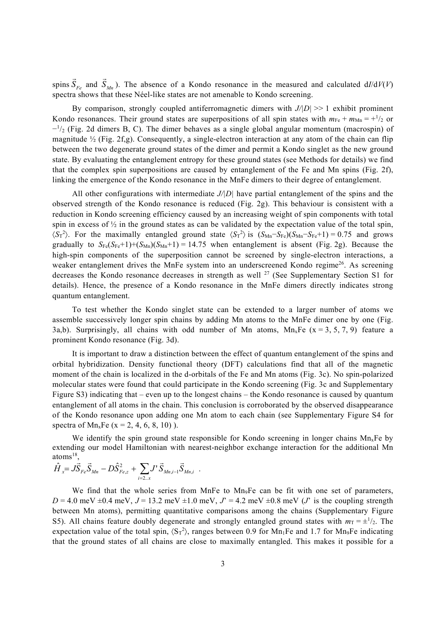spins  $\vec{S}_{Fe}$  and  $\vec{S}_{Mn}$ ). The absence of a Kondo resonance in the measured and calculated d*I*/d*V*(*V*) spectra shows that these Néel-like states are not amenable to Kondo screening.

By comparison, strongly coupled antiferromagnetic dimers with *J/|D|* >> 1 exhibit prominent Kondo resonances. Their ground states are superpositions of all spin states with  $m_{Fe} + m_{Mn} = +1/2$  or  $-1/2$  (Fig. 2d dimers B, C). The dimer behaves as a single global angular momentum (macrospin) of magnitude ½ (Fig. 2f,g). Consequently, a single-electron interaction at any atom of the chain can flip between the two degenerate ground states of the dimer and permit a Kondo singlet as the new ground state. By evaluating the entanglement entropy for these ground states (see Methods for details) we find that the complex spin superpositions are caused by entanglement of the Fe and Mn spins (Fig. 2f), linking the emergence of the Kondo resonance in the MnFe dimers to their degree of entanglement.

All other configurations with intermediate *J/|D|* have partial entanglement of the spins and the observed strength of the Kondo resonance is reduced (Fig. 2g). This behaviour is consistent with a reduction in Kondo screening efficiency caused by an increasing weight of spin components with total spin in excess of  $\frac{1}{2}$  in the ground states as can be validated by the expectation value of the total spin,  $\langle S_T^2 \rangle$ . For the maximally entangled ground state  $\langle S_T^2 \rangle$  is  $(S_{Mn} - S_{Fe}) (S_{Mn} - S_{Fe} + 1) = 0.75$  and grows gradually to  $S_{Fe}(S_{Fe}+1)+(S_{Mn})(S_{Mn}+1) = 14.75$  when entanglement is absent (Fig. 2g). Because the high-spin components of the superposition cannot be screened by single-electron interactions, a weaker entanglement drives the MnFe system into an underscreened Kondo regime<sup>26</sup>. As screening decreases the Kondo resonance decreases in strength as well <sup>27</sup> (See Supplementary Section S1 for details). Hence, the presence of a Kondo resonance in the MnFe dimers directly indicates strong quantum entanglement.

To test whether the Kondo singlet state can be extended to a larger number of atoms we assemble successively longer spin chains by adding Mn atoms to the MnFe dimer one by one (Fig. 3a,b). Surprisingly, all chains with odd number of Mn atoms,  $Mn_xFe$  (x = 3, 5, 7, 9) feature a prominent Kondo resonance (Fig. 3d).

It is important to draw a distinction between the effect of quantum entanglement of the spins and orbital hybridization. Density functional theory (DFT) calculations find that all of the magnetic moment of the chain is localized in the d-orbitals of the Fe and Mn atoms (Fig. 3c). No spin-polarized molecular states were found that could participate in the Kondo screening (Fig. 3c and Supplementary Figure S3) indicating that – even up to the longest chains – the Kondo resonance is caused by quantum entanglement of all atoms in the chain. This conclusion is corroborated by the observed disappearance of the Kondo resonance upon adding one Mn atom to each chain (see Supplementary Figure S4 for spectra of  $Mn_xFe$  (x = 2, 4, 6, 8, 10)).

We identify the spin ground state responsible for Kondo screening in longer chains  $Mn_xFe$  by extending our model Hamiltonian with nearest-neighbor exchange interaction for the additional Mn atoms $^{18}$ ,

$$
\hat{H}_{x} = J\vec{S}_{Fe}\vec{S}_{Mn} - D\hat{S}_{Fe,z}^{2} + \sum_{i=2..x} J'\vec{S}_{Mn,i-1}\vec{S}_{Mn,i} .
$$

We find that the whole series from MnFe to Mn<sub>9</sub>Fe can be fit with one set of parameters,  $D = 4.0$  meV  $\pm 0.4$  meV,  $J = 13.2$  meV  $\pm 1.0$  meV,  $J' = 4.2$  meV  $\pm 0.8$  meV (*J*' is the coupling strength between Mn atoms), permitting quantitative comparisons among the chains (Supplementary Figure S5). All chains feature doubly degenerate and strongly entangled ground states with  $m_T = \pm \frac{1}{2}$ . The expectation value of the total spin,  $\langle S_T^2 \rangle$ , ranges between 0.9 for Mn<sub>1</sub>Fe and 1.7 for Mn<sub>9</sub>Fe indicating that the ground states of all chains are close to maximally entangled. This makes it possible for a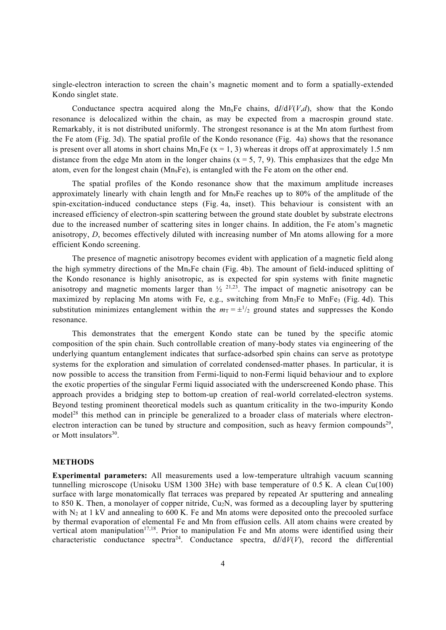single-electron interaction to screen the chain's magnetic moment and to form a spatially-extended Kondo singlet state.

Conductance spectra acquired along the Mn<sub>x</sub>Fe chains,  $dI/dV(V,d)$ , show that the Kondo resonance is delocalized within the chain, as may be expected from a macrospin ground state. Remarkably, it is not distributed uniformly. The strongest resonance is at the Mn atom furthest from the Fe atom (Fig. 3d). The spatial profile of the Kondo resonance (Fig. 4a) shows that the resonance is present over all atoms in short chains  $Mn_xFe$  (x = 1, 3) whereas it drops off at approximately 1.5 nm distance from the edge Mn atom in the longer chains  $(x = 5, 7, 9)$ . This emphasizes that the edge Mn atom, even for the longest chain (Mn9Fe), is entangled with the Fe atom on the other end.

The spatial profiles of the Kondo resonance show that the maximum amplitude increases approximately linearly with chain length and for Mn9Fe reaches up to 80% of the amplitude of the spin-excitation-induced conductance steps (Fig. 4a, inset). This behaviour is consistent with an increased efficiency of electron-spin scattering between the ground state doublet by substrate electrons due to the increased number of scattering sites in longer chains. In addition, the Fe atom's magnetic anisotropy, *D*, becomes effectively diluted with increasing number of Mn atoms allowing for a more efficient Kondo screening.

The presence of magnetic anisotropy becomes evident with application of a magnetic field along the high symmetry directions of the  $Mn_xFe$  chain (Fig. 4b). The amount of field-induced splitting of the Kondo resonance is highly anisotropic, as is expected for spin systems with finite magnetic anisotropy and magnetic moments larger than  $\frac{1}{2}$   $2^{1,23}$ . The impact of magnetic anisotropy can be maximized by replacing Mn atoms with Fe, e.g., switching from  $Mn_3Fe$  to  $MnFe_3$  (Fig. 4d). This substitution minimizes entanglement within the  $m_T = \pm \frac{1}{2}$  ground states and suppresses the Kondo resonance.

This demonstrates that the emergent Kondo state can be tuned by the specific atomic composition of the spin chain. Such controllable creation of many-body states via engineering of the underlying quantum entanglement indicates that surface-adsorbed spin chains can serve as prototype systems for the exploration and simulation of correlated condensed-matter phases. In particular, it is now possible to access the transition from Fermi-liquid to non-Fermi liquid behaviour and to explore the exotic properties of the singular Fermi liquid associated with the underscreened Kondo phase. This approach provides a bridging step to bottom-up creation of real-world correlated-electron systems. Beyond testing prominent theoretical models such as quantum criticality in the two-impurity Kondo model28 this method can in principle be generalized to a broader class of materials where electronelectron interaction can be tuned by structure and composition, such as heavy fermion compounds<sup>29</sup>, or Mott insulators<sup>30</sup>.

## **METHODS**

**Experimental parameters:** All measurements used a low-temperature ultrahigh vacuum scanning tunnelling microscope (Unisoku USM 1300 3He) with base temperature of 0.5 K. A clean Cu(100) surface with large monatomically flat terraces was prepared by repeated Ar sputtering and annealing to 850 K. Then, a monolayer of copper nitride,  $Cu<sub>2</sub>N$ , was formed as a decoupling layer by sputtering with  $N_2$  at 1 kV and annealing to 600 K. Fe and Mn atoms were deposited onto the precooled surface by thermal evaporation of elemental Fe and Mn from effusion cells. All atom chains were created by vertical atom manipulation<sup> $17,18$ </sup>. Prior to manipulation Fe and Mn atoms were identified using their characteristic conductance spectra<sup>24</sup>. Conductance spectra,  $dI/dV(V)$ , record the differential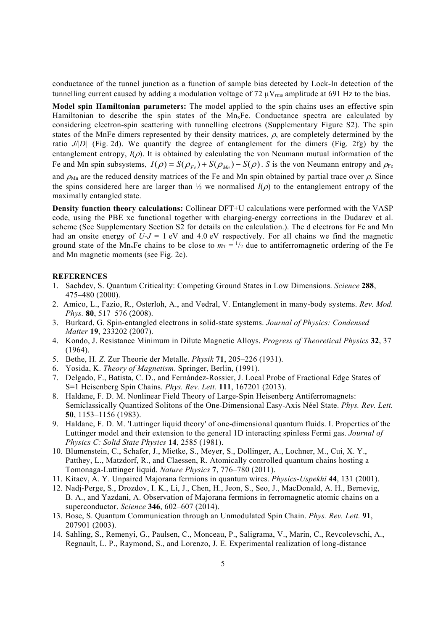conductance of the tunnel junction as a function of sample bias detected by Lock-In detection of the tunnelling current caused by adding a modulation voltage of 72  $\mu$ V<sub>rms</sub> amplitude at 691 Hz to the bias.

**Model spin Hamiltonian parameters:** The model applied to the spin chains uses an effective spin Hamiltonian to describe the spin states of the MnxFe. Conductance spectra are calculated by considering electron-spin scattering with tunnelling electrons (Supplementary Figure S2). The spin states of the MnFe dimers represented by their density matrices,  $\rho$ , are completely determined by the ratio *J*/|*D|* (Fig. 2d). We quantify the degree of entanglement for the dimers (Fig. 2fg) by the entanglement entropy,  $I(\rho)$ . It is obtained by calculating the von Neumann mutual information of the Fe and Mn spin subsystems,  $I(\rho) = S(\rho_{F_e}) + S(\rho_{M_n}) - S(\rho)$ . *S* is the von Neumann entropy and  $\rho_{Fe}$ and  $\rho_{Mn}$  are the reduced density matrices of the Fe and Mn spin obtained by partial trace over  $\rho$ . Since the spins considered here are larger than  $\frac{1}{2}$  we normalised  $I(\rho)$  to the entanglement entropy of the maximally entangled state.

**Density function theory calculations:** Collinear DFT+U calculations were performed with the VASP code, using the PBE xc functional together with charging-energy corrections in the Dudarev et al. scheme (See Supplementary Section S2 for details on the calculation.). The d electrons for Fe and Mn had an onsite energy of  $U-J = 1$  eV and 4.0 eV respectively. For all chains we find the magnetic ground state of the Mn<sub>x</sub>Fe chains to be close to  $m<sub>T</sub> = \frac{1}{2}$  due to antiferromagnetic ordering of the Fe and Mn magnetic moments (see Fig. 2c).

## **REFERENCES**

- 1. Sachdev, S. Quantum Criticality: Competing Ground States in Low Dimensions. *Science* **288**, 475–480 (2000).
- 2. Amico, L., Fazio, R., Osterloh, A., and Vedral, V. Entanglement in many-body systems. *Rev. Mod. Phys.* **80**, 517–576 (2008).
- 3. Burkard, G. Spin-entangled electrons in solid-state systems. *Journal of Physics: Condensed Matter* **19**, 233202 (2007).
- 4. Kondo, J. Resistance Minimum in Dilute Magnetic Alloys. *Progress of Theoretical Physics* **32**, 37  $(1964)$ .
- 5. Bethe, H. *Z.* Zur Theorie der Metalle. *Physik* **71**, 205–226 (1931).
- 6. Yosida, K. *Theory of Magnetism*. Springer, Berlin, (1991).
- 7. Delgado, F., Batista, C. D., and Fernández-Rossier, J. Local Probe of Fractional Edge States of S=1 Heisenberg Spin Chains. *Phys. Rev. Lett.* **111**, 167201 (2013).
- 8. Haldane, F. D. M. Nonlinear Field Theory of Large-Spin Heisenberg Antiferromagnets: Semiclassically Quantized Solitons of the One-Dimensional Easy-Axis Néel State. *Phys. Rev. Lett.* **50**, 1153–1156 (1983).
- 9. Haldane, F. D. M. 'Luttinger liquid theory' of one-dimensional quantum fluids. I. Properties of the Luttinger model and their extension to the general 1D interacting spinless Fermi gas. *Journal of Physics C: Solid State Physics* **14**, 2585 (1981).
- 10. Blumenstein, C., Schafer, J., Mietke, S., Meyer, S., Dollinger, A., Lochner, M., Cui, X. Y., Patthey, L., Matzdorf, R., and Claessen, R. Atomically controlled quantum chains hosting a Tomonaga-Luttinger liquid. *Nature Physics* **7**, 776–780 (2011).
- 11. Kitaev, A. Y. Unpaired Majorana fermions in quantum wires. *Physics-Uspekhi* **44**, 131 (2001).
- 12. Nadj-Perge, S., Drozdov, I. K., Li, J., Chen, H., Jeon, S., Seo, J., MacDonald, A. H., Bernevig, B. A., and Yazdani, A. Observation of Majorana fermions in ferromagnetic atomic chains on a superconductor. *Science* **346**, 602–607 (2014).
- 13. Bose, S. Quantum Communication through an Unmodulated Spin Chain. *Phys. Rev. Lett.* **91**, 207901 (2003).
- 14. Sahling, S., Remenyi, G., Paulsen, C., Monceau, P., Saligrama, V., Marin, C., Revcolevschi, A., Regnault, L. P., Raymond, S., and Lorenzo, J. E. Experimental realization of long-distance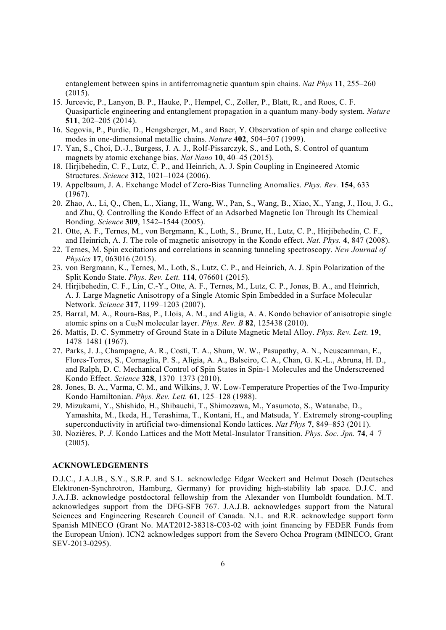entanglement between spins in antiferromagnetic quantum spin chains. *Nat Phys* **11**, 255–260 (2015).

- 15. Jurcevic, P., Lanyon, B. P., Hauke, P., Hempel, C., Zoller, P., Blatt, R., and Roos, C. F. Quasiparticle engineering and entanglement propagation in a quantum many-body system. *Nature* **511**, 202–205 (2014).
- 16. Segovia, P., Purdie, D., Hengsberger, M., and Baer, Y. Observation of spin and charge collective modes in one-dimensional metallic chains. *Nature* **402**, 504–507 (1999).
- 17. Yan, S., Choi, D.-J., Burgess, J. A. J., Rolf-Pissarczyk, S., and Loth, S. Control of quantum magnets by atomic exchange bias. *Nat Nano* **10**, 40–45 (2015).
- 18. Hirjibehedin, C. F., Lutz, C. P., and Heinrich, A. J. Spin Coupling in Engineered Atomic Structures. *Science* **312**, 1021–1024 (2006).
- 19. Appelbaum, J. A. Exchange Model of Zero-Bias Tunneling Anomalies. *Phys. Rev.* **154**, 633  $(1967)$ .
- 20. Zhao, A., Li, Q., Chen, L., Xiang, H., Wang, W., Pan, S., Wang, B., Xiao, X., Yang, J., Hou, J. G., and Zhu, Q. Controlling the Kondo Effect of an Adsorbed Magnetic Ion Through Its Chemical Bonding. *Science* **309**, 1542–1544 (2005).
- 21. Otte, A. F., Ternes, M., von Bergmann, K., Loth, S., Brune, H., Lutz, C. P., Hirjibehedin, C. F., and Heinrich, A. J. The role of magnetic anisotropy in the Kondo effect. *Nat. Phys.* **4**, 847 (2008).
- 22. Ternes, M. Spin excitations and correlations in scanning tunneling spectroscopy. *New Journal of Physics* **17**, 063016 (2015).
- 23. von Bergmann, K., Ternes, M., Loth, S., Lutz, C. P., and Heinrich, A. J. Spin Polarization of the Split Kondo State. *Phys. Rev. Lett.* **114**, 076601 (2015).
- 24. Hirjibehedin, C. F., Lin, C.-Y., Otte, A. F., Ternes, M., Lutz, C. P., Jones, B. A., and Heinrich, A. J. Large Magnetic Anisotropy of a Single Atomic Spin Embedded in a Surface Molecular Network. *Science* **317**, 1199–1203 (2007).
- 25. Barral, M. A., Roura-Bas, P., Llois, A. M., and Aligia, A. A. Kondo behavior of anisotropic single atomic spins on a Cu2N molecular layer. *Phys. Rev. B* **82**, 125438 (2010).
- 26. Mattis, D. C. Symmetry of Ground State in a Dilute Magnetic Metal Alloy. *Phys. Rev. Lett.* **19**, 1478–1481 (1967).
- 27. Parks, J. J., Champagne, A. R., Costi, T. A., Shum, W. W., Pasupathy, A. N., Neuscamman, E., Flores-Torres, S., Cornaglia, P. S., Aligia, A. A., Balseiro, C. A., Chan, G. K.-L., Abruna, H. D., and Ralph, D. C. Mechanical Control of Spin States in Spin-1 Molecules and the Underscreened Kondo Effect. *Science* **328**, 1370–1373 (2010).
- 28. Jones, B. A., Varma, C. M., and Wilkins, J. W. Low-Temperature Properties of the Two-Impurity Kondo Hamiltonian. *Phys. Rev. Lett.* **61**, 125–128 (1988).
- 29. Mizukami, Y., Shishido, H., Shibauchi, T., Shimozawa, M., Yasumoto, S., Watanabe, D., Yamashita, M., Ikeda, H., Terashima, T., Kontani, H., and Matsuda, Y. Extremely strong-coupling superconductivity in artificial two-dimensional Kondo lattices. *Nat Phys* **7**, 849–853 (2011).
- 30. Nozières, P. *J.* Kondo Lattices and the Mott Metal-Insulator Transition. *Phys. Soc. Jpn.* **74**, 4–7 (2005).

## **ACKNOWLEDGEMENTS**

D.J.C., J.A.J.B., S.Y., S.R.P. and S.L. acknowledge Edgar Weckert and Helmut Dosch (Deutsches Elektronen-Synchrotron, Hamburg, Germany) for providing high-stability lab space. D.J.C. and J.A.J.B. acknowledge postdoctoral fellowship from the Alexander von Humboldt foundation. M.T. acknowledges support from the DFG-SFB 767. J.A.J.B. acknowledges support from the Natural Sciences and Engineering Research Council of Canada. N.L. and R.R. acknowledge support form Spanish MINECO (Grant No. MAT2012-38318-C03-02 with joint financing by FEDER Funds from the European Union). ICN2 acknowledges support from the Severo Ochoa Program (MINECO, Grant SEV-2013-0295).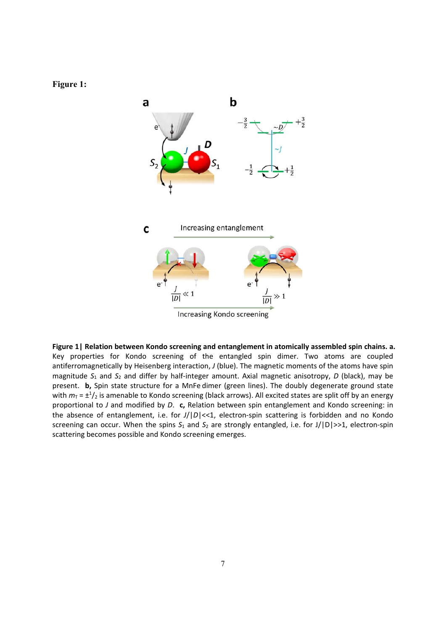**Figure 1:** 



**Figure 1| Relation between Kondo screening and entanglement in atomically assembled spin chains. a.** Key properties for Kondo screening of the entangled spin dimer. Two atoms are coupled antiferromagnetically by Heisenberg interaction, *J* (blue). The magnetic moments of the atoms have spin magnitude  $S_1$  and  $S_2$  and differ by half-integer amount. Axial magnetic anisotropy, *D* (black), may be present. **b,** Spin state structure for a MnFe dimer (green lines). The doubly degenerate ground state with  $m_{\overline{1}}$  =  $\pm$ <sup>1</sup>/<sub>2</sub> is amenable to Kondo screening (black arrows). All excited states are split off by an energy proportional to *J* and modified by *D*. **c,** Relation between spin entanglement and Kondo screening: in the absence of entanglement, i.e. for  $J/D$ |<<1, electron-spin scattering is forbidden and no Kondo screening can occur. When the spins  $S_1$  and  $S_2$  are strongly entangled, i.e. for J/|D|>>1, electron-spin scattering becomes possible and Kondo screening emerges.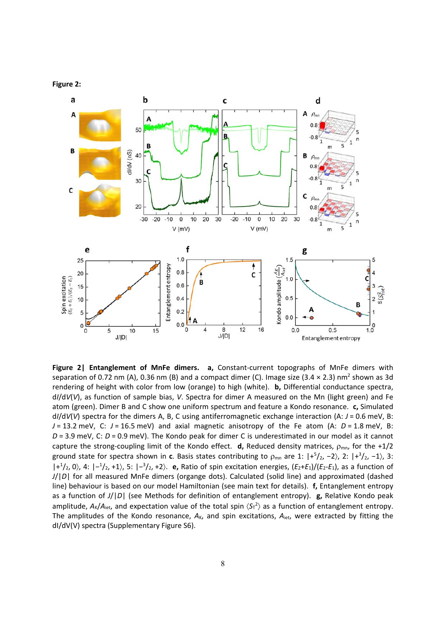



**Figure 2| Entanglement of MnFe dimers. a,** Constant‐current topographs of MnFe dimers with separation of 0.72 nm (A), 0.36 nm (B) and a compact dimer (C). Image size (3.4  $\times$  2.3) nm<sup>2</sup> shown as 3d rendering of height with color from low (orange) to high (white). **b,** Differential conductance spectra, d*I*/d*V*(*V*), as function of sample bias, *V*. Spectra for dimer A measured on the Mn (light green) and Fe atom (green). Dimer B and C show one uniform spectrum and feature a Kondo resonance. **c,** Simulated d*I*/d*V*(*V*) spectra for the dimers A, B, C using antiferromagnetic exchange interaction (A: *J* = 0.6 meV, B: *J* = 13.2 meV, C: *J* = 16.5 meV) and axial magnetic anisotropy of the Fe atom (A: *D* = 1.8 meV, B: *D* = 3.9 meV, C: *D* = 0.9 meV). The Kondo peak for dimer C is underestimated in our model as it cannot capture the strong-coupling limit of the Kondo effect. **d,** Reduced density matrices,  $\rho_{mn}$ , for the +1/2 ground state for spectra shown in c. Basis states contributing to  $\rho_{mn}$  are 1:  $|+^5/2$ , -2), 2:  $|+^3/2$ , -1), 3: |+1 /2, 0, 4: |−<sup>1</sup> /2, +1, 5: |−<sup>3</sup> /2, +2. **e,** Ratio of spin excitation energies, (*E*2+*E*1)/(*E*2‐*E*1), as a function of *J*/|*D*| for all measured MnFe dimers (organge dots). Calculated (solid line) and approximated (dashed line) behaviour is based on our model Hamiltonian (see main text for details). **f,** Entanglement entropy as a function of *J*/|*D*| (see Methods for definition of entanglement entropy). **g,** Relative Kondo peak amplitude,  $A_{K}/A_{\text{iet}}$ , and expectation value of the total spin  $\langle S_{T}^{2} \rangle$  as a function of entanglement entropy. The amplitudes of the Kondo resonance,  $A_K$ , and spin excitations,  $A_{\text{iet}}$ , were extracted by fitting the dI/dV(V) spectra (Supplementary Figure S6).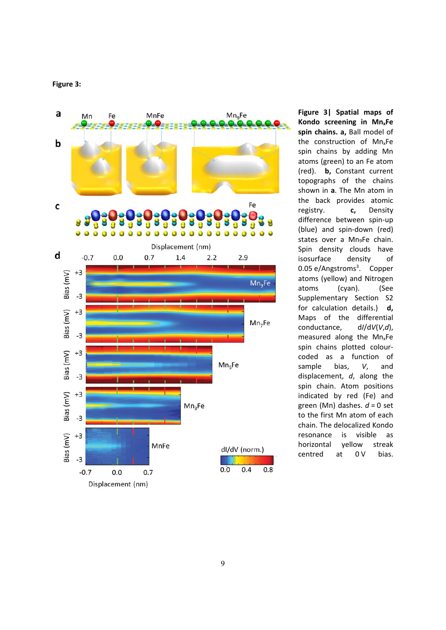



**Figure 3| Spatial maps of Kondo screening in Mn xFe spin chains. a,** Ball model of the construction of Mn<sub>x</sub>Fe spin chains by adding Mn atoms (green) to an Fe atom (red). **b,** Constant current topographs of the chains shown in **a** . The Mn atom in the back provides atomic registry. **c,** Density difference between spin ‐up (blue) and spin-down (red) states over a Mn 9Fe chain. Spin density clouds have isosurface density of 0.05 e/Angstroms<sup>3</sup>. Copper atoms (yellow) and Nitrogen atoms (cyan). (See Supplementary Section S2 for calculation details.) **d,** Maps of the differential conductance, d *I*/d *V* ( *V*, *d*), measured along the Mn xFe spin chains plotted colour ‐ coded as a function of sample bias, *V*, and displacement, *d* , along the spin chain. Atom positions indicated by red (Fe) and green (Mn) dashes. *d* = 0 set to the first Mn atom of each chain. The delocalized Kondo resonance is visible as horizontal yellow streak centred at  $0V$ bias.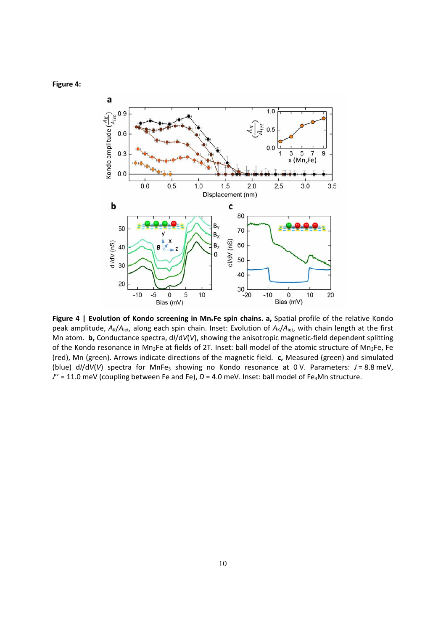



**Figure 4 | Evolution of Kondo screening in MnxFe spin chains. a,** Spatial profile of the relative Kondo peak amplitude, A<sub>K</sub>/A<sub>iet</sub>, along each spin chain. Inset: Evolution of A<sub>K</sub>/A<sub>iet</sub>, with chain length at the first Mn atom. **b,** Conductance spectra, d*I*/d*V*(*V*), showing the anisotropic magnetic‐field dependent splitting of the Kondo resonance in Mn<sub>3</sub>Fe at fields of 2T. Inset: ball model of the atomic structure of Mn<sub>3</sub>Fe, Fe (red), Mn (green). Arrows indicate directions of the magnetic field. **c,** Measured (green) and simulated (blue)  $dI/dV(V)$  spectra for MnFe<sub>3</sub> showing no Kondo resonance at 0 V. Parameters:  $J = 8.8$  meV, *J*" = 11.0 meV (coupling between Fe and Fe), *D* = 4.0 meV. Inset: ball model of Fe<sub>3</sub>Mn structure.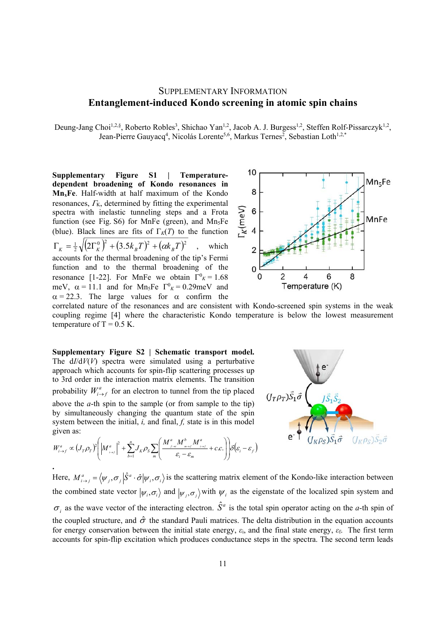# SUPPLEMENTARY INFORMATION **Entanglement-induced Kondo screening in atomic spin chains**

Deung-Jang Choi<sup>1,2,§</sup>, Roberto Robles<sup>3</sup>, Shichao Yan<sup>1,2</sup>, Jacob A. J. Burgess<sup>1,2</sup>, Steffen Rolf-Pissarczyk<sup>1,2</sup>, Jean-Pierre Gauyacq<sup>4</sup>, Nicolás Lorente<sup>5,6</sup>, Markus Ternes<sup>2</sup>, Sebastian Loth<sup>1,2,\*</sup>

**Supplementary Figure S1 | Temperaturedependent broadening of Kondo resonances in MnxFe**. Half-width at half maximum of the Kondo resonances,  $\Gamma_{K}$ , determined by fitting the experimental spectra with inelastic tunneling steps and a Frota function (see Fig. S6) for MnFe (green), and  $Mn<sub>5</sub>Fe$ (blue). Black lines are fits of  $\Gamma_K(T)$  to the function  $\Gamma_K = \frac{1}{2} \sqrt{(2 \Gamma_K^0)^2 + (3.5 k_B T)^2 + (\alpha k_B T)^2}$ , which accounts for the thermal broadening of the tip's Fermi function and to the thermal broadening of the resonance [1-22]. For MnFe we obtain  $\Gamma^0{}_K = 1.68$ meV,  $\alpha = 11.1$  and for Mn<sub>5</sub>Fe  $\Gamma^0{}_K = 0.29$  meV and  $\alpha = 22.3$ . The large values for  $\alpha$  confirm the



correlated nature of the resonances and are consistent with Kondo-screened spin systems in the weak coupling regime [4] where the characteristic Kondo temperature is below the lowest measurement temperature of  $T = 0.5$  K.

**Supplementary Figure S2 | Schematic transport model.**  The d*I*/d*V*(*V*) spectra were simulated using a perturbative approach which accounts for spin-flip scattering processes up to 3rd order in the interaction matrix elements. The transition probability  $W_{i \to f}^a$  for an electron to tunnel from the tip placed above the *a*-th spin to the sample (or from sample to the tip) by simultaneously changing the quantum state of the spin system between the initial, *i,* and final, *f,* state is in this model given as:

$$
W_{i\to f}^{a} \propto (J_T \rho_T)^2 \left( \left| M_{i\to f}^{a} \right|^2 + \sum_{b=1}^n J_K \rho_S \sum_m \left( \frac{M_{f\to i}^{a} M_{m\to f}^{b} M_{i\to f}^{a}}{\varepsilon_i - \varepsilon_m} + c.c. \right) \right) \delta \left( \varepsilon_i - \varepsilon_f \right)
$$



**.**  Here,  $M^a_{i\to j} = \langle \psi_j, \sigma_j | \hat{S}^a \cdot \hat{\sigma} | \psi_i, \sigma_j \rangle$  is the scattering matrix element of the Kondo-like interaction between the combined state vector  $|\psi_i, \sigma_i \rangle$  and  $|\psi_i, \sigma_j \rangle$  with  $\psi_i$  as the eigenstate of the localized spin system and  $\sigma_i$  as the wave vector of the interacting electron.  $\hat{S}^a$  is the total spin operator acting on the *a*-th spin of the coupled structure, and  $\hat{\sigma}$  the standard Pauli matrices. The delta distribution in the equation accounts for energy conservation between the initial state energy, *ε*i, and the final state energy, *ε*f. The first term accounts for spin-flip excitation which produces conductance steps in the spectra. The second term leads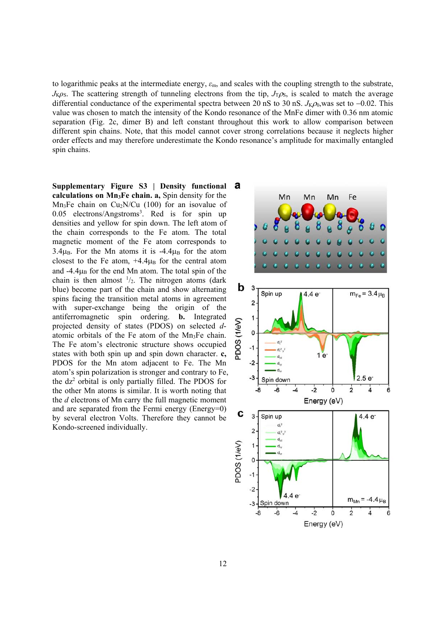to logarithmic peaks at the intermediate energy, *ε*m, and scales with the coupling strength to the substrate,  $J<sub>K</sub>ρ<sub>S</sub>$ . The scattering strength of tunneling electrons from the tip,  $J<sub>T</sub>ρ<sub>S</sub>$ , is scaled to match the average differential conductance of the experimental spectra between 20 nS to 30 nS.  $J_{K}\rho_0$ , was set to -0.02. This value was chosen to match the intensity of the Kondo resonance of the MnFe dimer with 0.36 nm atomic separation (Fig. 2c, dimer B) and left constant throughout this work to allow comparison between different spin chains. Note, that this model cannot cover strong correlations because it neglects higher order effects and may therefore underestimate the Kondo resonance's amplitude for maximally entangled spin chains.

**Supplementary Figure S3 | Density functional calculations on Mn3Fe chain. a,** Spin density for the  $Mn_3Fe$  chain on Cu<sub>2</sub>N/Cu (100) for an isovalue of 0.05 electrons/Angstroms<sup>3</sup>. Red is for spin up densities and yellow for spin down. The left atom of the chain corresponds to the Fe atom. The total magnetic moment of the Fe atom corresponds to  $3.4\mu_B$ . For the Mn atoms it is  $-4.4\mu_B$  for the atom closest to the Fe atom,  $+4.4\mu_B$  for the central atom and  $-4.4\mu_B$  for the end Mn atom. The total spin of the chain is then almost  $\frac{1}{2}$ . The nitrogen atoms (dark blue) become part of the chain and show alternating spins facing the transition metal atoms in agreement with super-exchange being the origin of the antiferromagnetic spin ordering. **b.** Integrated projected density of states (PDOS) on selected *d*atomic orbitals of the Fe atom of the Mn3Fe chain. The Fe atom's electronic structure shows occupied states with both spin up and spin down character. **c,** PDOS for the Mn atom adjacent to Fe. The Mn atom's spin polarization is stronger and contrary to Fe, the  $dz^2$  orbital is only partially filled. The PDOS for the other Mn atoms is similar. It is worth noting that the *d* electrons of Mn carry the full magnetic moment and are separated from the Fermi energy (Energy=0) by several electron Volts. Therefore they cannot be Kondo-screened individually.

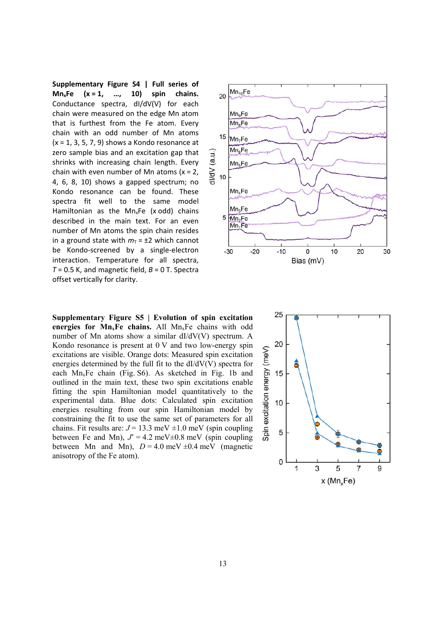**Supplementary Figure S4 | Full series of MnxFe (x = 1, …, 10) spin chains.** Conductance spectra, dI/dV(V) for each chain were measured on the edge Mn atom that is furthest from the Fe atom. Every chain with an odd number of Mn atoms  $(x = 1, 3, 5, 7, 9)$  shows a Kondo resonance at zero sample bias and an excitation gap that shrinks with increasing chain length. Every chain with even number of Mn atoms  $(x = 2)$ , 4, 6, 8, 10) shows a gapped spectrum; no Kondo resonance can be found. These spectra fit well to the same model Hamiltonian as the  $Mn_xFe$  (x odd) chains described in the main text. For an even number of Mn atoms the spin chain resides in a ground state with  $m<sub>T</sub> = \pm 2$  which cannot be Kondo-screened by a single-electron interaction. Temperature for all spectra,  $T = 0.5$  K, and magnetic field,  $B = 0$  T. Spectra offset vertically for clarity.

**Supplementary Figure S5 | Evolution of spin excitation**  energies for  $Mn_xFe$  chains. All  $Mn_xFe$  chains with odd number of Mn atoms show a similar dI/dV(V) spectrum. A Kondo resonance is present at 0 V and two low-energy spin excitations are visible. Orange dots: Measured spin excitation energies determined by the full fit to the  $dI/dV(V)$  spectra for each MnxFe chain (Fig. S6). As sketched in Fig. 1b and outlined in the main text, these two spin excitations enable fitting the spin Hamiltonian model quantitatively to the experimental data. Blue dots: Calculated spin excitation energies resulting from our spin Hamiltonian model by constraining the fit to use the same set of parameters for all chains. Fit results are:  $J = 13.3$  meV  $\pm 1.0$  meV (spin coupling between Fe and Mn),  $J' = 4.2$  meV $\pm$ 0.8 meV (spin coupling between Mn and Mn),  $D = 4.0$  meV  $\pm 0.4$  meV (magnetic anisotropy of the Fe atom).



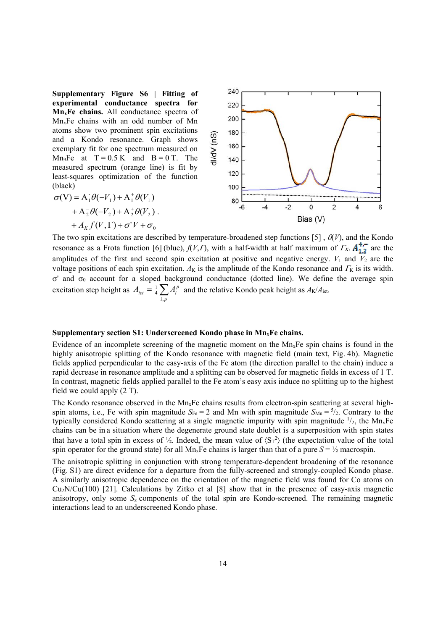**Supplementary Figure S6 | Fitting of experimental conductance spectra for MnxFe chains.** All conductance spectra of MnxFe chains with an odd number of Mn atoms show two prominent spin excitations and a Kondo resonance. Graph shows exemplary fit for one spectrum measured on Mn<sub>9</sub>Fe at  $T = 0.5$  K and  $B = 0$  T. The measured spectrum (orange line) is fit by least-squares optimization of the function  $(h \cdot \text{label})$ 

(black)  
\n
$$
\sigma(V) = A_1^- \theta(-V_1) + A_1^+ \theta(V_1)
$$
\n
$$
+ A_2^- \theta(-V_2) + A_2^+ \theta(V_2)
$$
\n
$$
+ A_K f(V, \Gamma) + \sigma' V + \sigma_0
$$
\nBias (V)

dV (nS)

The two spin excitations are described by temperature-broadened step functions [5],  $\theta(V)$ , and the Kondo resonance as a Frota function [6] (blue),  $f(V, \Gamma)$ , with a half-width at half maximum of  $\Gamma_K$ .  $A_{1,2}^{+,-}$  are the amplitudes of the first and second spin excitation at positive and negative energy.  $V_1$  and  $\overline{V_2}$  are the voltage positions of each spin excitation.  $A_K$  is the amplitude of the Kondo resonance and  $\Gamma_K$  is its width.  $\sigma'$  and  $\sigma_0$  account for a sloped background conductance (dotted line). We define the average spin excitation step height as  $A_{\text{jet}} = \frac{1}{4} \sum_{i,p} A_i^p$  $\frac{1}{4} \sum_{i,p} A_i^p$  and the relative Kondo peak height as  $A_K/A_{\text{iet}}$ .

160 140 120

ĥ

## **Supplementary section S1: Underscreened Kondo phase in MnxFe chains.**

Evidence of an incomplete screening of the magnetic moment on the  $Mn_xFe$  spin chains is found in the highly anisotropic splitting of the Kondo resonance with magnetic field (main text, Fig. 4b). Magnetic fields applied perpendicular to the easy-axis of the Fe atom (the direction parallel to the chain) induce a rapid decrease in resonance amplitude and a splitting can be observed for magnetic fields in excess of 1 T. In contrast, magnetic fields applied parallel to the Fe atom's easy axis induce no splitting up to the highest field we could apply (2 T).

The Kondo resonance observed in the  $Mn_xFe$  chains results from electron-spin scattering at several highspin atoms, i.e., Fe with spin magnitude  $S_{Fe} = 2$  and Mn with spin magnitude  $S_{Mn} = \frac{5}{2}$ . Contrary to the typically considered Kondo scattering at a single magnetic impurity with spin magnitude  $\frac{1}{2}$ , the Mn<sub>x</sub>Fe chains can be in a situation where the degenerate ground state doublet is a superposition with spin states that have a total spin in excess of  $\frac{1}{2}$ . Indeed, the mean value of  $\langle S_T^2 \rangle$  (the expectation value of the total spin operator for the ground state) for all Mn<sub>x</sub>Fe chains is larger than that of a pure  $S = \frac{1}{2}$  macrospin.

The anisotropic splitting in conjunction with strong temperature-dependent broadening of the resonance (Fig. S1) are direct evidence for a departure from the fully-screened and strongly-coupled Kondo phase. A similarly anisotropic dependence on the orientation of the magnetic field was found for Co atoms on  $Cu_2N/Cu(100)$  [21]. Calculations by Zitko et al [8] show that in the presence of easy-axis magnetic anisotropy, only some *S*z components of the total spin are Kondo-screened. The remaining magnetic interactions lead to an underscreened Kondo phase.